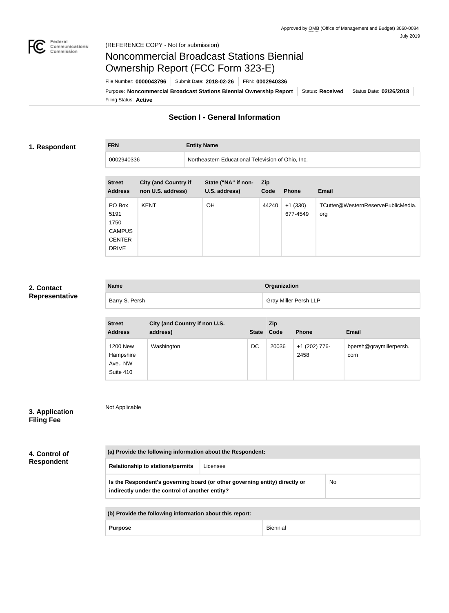

**FRN Entity Name**

# Noncommercial Broadcast Stations Biennial Ownership Report (FCC Form 323-E)

Filing Status: **Active** Purpose: Noncommercial Broadcast Stations Biennial Ownership Report Status: Received Status Date: 02/26/2018 File Number: **0000043796** Submit Date: **2018-02-26** FRN: **0002940336**

# **Section I - General Information**

# **1. Respondent**

0002940336 Northeastern Educational Television of Ohio, Inc.

| <b>Street</b><br><b>Address</b>                                          | <b>City (and Country if</b><br>non U.S. address) | State ("NA" if non-<br>U.S. address) | <b>Zip</b><br>Code | <b>Phone</b>          | <b>Email</b>                              |
|--------------------------------------------------------------------------|--------------------------------------------------|--------------------------------------|--------------------|-----------------------|-------------------------------------------|
| PO Box<br>5191<br>1750<br><b>CAMPUS</b><br><b>CENTER</b><br><b>DRIVE</b> | <b>KENT</b>                                      | <b>OH</b>                            | 44240              | $+1(330)$<br>677-4549 | TCutter@WesternReservePublicMedia.<br>org |

# **2. Contact Representative**

| <b>Name</b>    | Organization                 |
|----------------|------------------------------|
| Barry S. Persh | <b>Gray Miller Persh LLP</b> |

| <b>Street</b><br><b>Address</b>                       | City (and Country if non U.S.<br>address) | <b>State</b> | Zip<br>Code | <b>Phone</b>          | <b>Email</b>                   |
|-------------------------------------------------------|-------------------------------------------|--------------|-------------|-----------------------|--------------------------------|
| <b>1200 New</b><br>Hampshire<br>Ave., NW<br>Suite 410 | Washington                                | DC           | 20036       | +1 (202) 776-<br>2458 | bpersh@graymillerpersh.<br>com |

| 3. Application    |  |
|-------------------|--|
| <b>Filing Fee</b> |  |

Not Applicable

| 4. Control of     |
|-------------------|
| <b>Respondent</b> |

| (a) Provide the following information about the Respondent:                                                                                 |          |  |  |  |
|---------------------------------------------------------------------------------------------------------------------------------------------|----------|--|--|--|
| <b>Relationship to stations/permits</b>                                                                                                     | Licensee |  |  |  |
| <b>No</b><br>Is the Respondent's governing board (or other governing entity) directly or<br>indirectly under the control of another entity? |          |  |  |  |
| (b) Provide the following information about this report:                                                                                    |          |  |  |  |
| <b>Biennial</b><br><b>Purpose</b>                                                                                                           |          |  |  |  |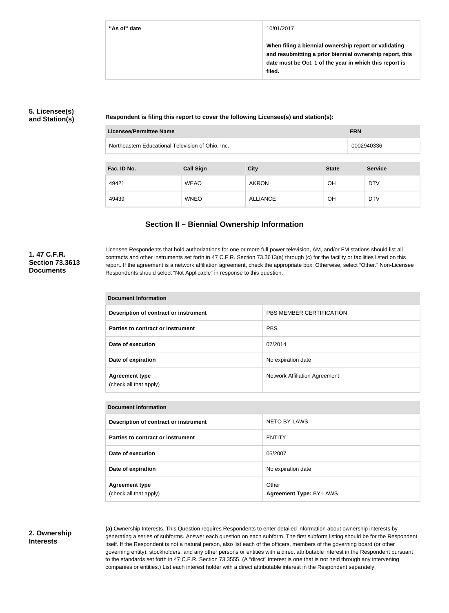**"As of" date** 10/01/2017

**When filing a biennial ownership report or validating and resubmitting a prior biennial ownership report, this date must be Oct. 1 of the year in which this report is filed.**

# **5. Licensee(s) and Station(s)**

**Respondent is filing this report to cover the following Licensee(s) and station(s):**

|             | <b>FRN</b><br>Licensee/Permittee Name                           |                 |              |                |  |
|-------------|-----------------------------------------------------------------|-----------------|--------------|----------------|--|
|             | Northeastern Educational Television of Ohio, Inc.<br>0002940336 |                 |              |                |  |
|             |                                                                 |                 |              |                |  |
| Fac. ID No. | <b>Call Sign</b>                                                | <b>City</b>     | <b>State</b> | <b>Service</b> |  |
| 49421       | <b>WEAO</b>                                                     | <b>AKRON</b>    | <b>OH</b>    | <b>DTV</b>     |  |
| 49439       | <b>WNEO</b>                                                     | <b>ALLIANCE</b> | OH           | <b>DTV</b>     |  |

# **Section II – Biennial Ownership Information**

# **1. 47 C.F.R. Section 73.3613 Documents**

Licensee Respondents that hold authorizations for one or more full power television, AM, and/or FM stations should list all contracts and other instruments set forth in 47 C.F.R. Section 73.3613(a) through (c) for the facility or facilities listed on this report. If the agreement is a network affiliation agreement, check the appropriate box. Otherwise, select "Other." Non-Licensee Respondents should select "Not Applicable" in response to this question.

| Document Information                            |                                      |  |
|-------------------------------------------------|--------------------------------------|--|
| Description of contract or instrument           | PBS MEMBER CERTIFICATION             |  |
| Parties to contract or instrument               | <b>PBS</b>                           |  |
| Date of execution                               | 07/2014                              |  |
| Date of expiration                              | No expiration date                   |  |
| <b>Agreement type</b><br>(check all that apply) | <b>Network Affiliation Agreement</b> |  |

| Document Information                            |                                         |  |  |
|-------------------------------------------------|-----------------------------------------|--|--|
| Description of contract or instrument           | NETO BY-LAWS                            |  |  |
| Parties to contract or instrument               | <b>ENTITY</b>                           |  |  |
| Date of execution                               | 05/2007                                 |  |  |
| Date of expiration                              | No expiration date                      |  |  |
| <b>Agreement type</b><br>(check all that apply) | Other<br><b>Agreement Type: BY-LAWS</b> |  |  |

#### **2. Ownership Interests**

**(a)** Ownership Interests. This Question requires Respondents to enter detailed information about ownership interests by generating a series of subforms. Answer each question on each subform. The first subform listing should be for the Respondent itself. If the Respondent is not a natural person, also list each of the officers, members of the governing board (or other governing entity), stockholders, and any other persons or entities with a direct attributable interest in the Respondent pursuant to the standards set forth in 47 C.F.R. Section 73.3555. (A "direct" interest is one that is not held through any intervening companies or entities.) List each interest holder with a direct attributable interest in the Respondent separately.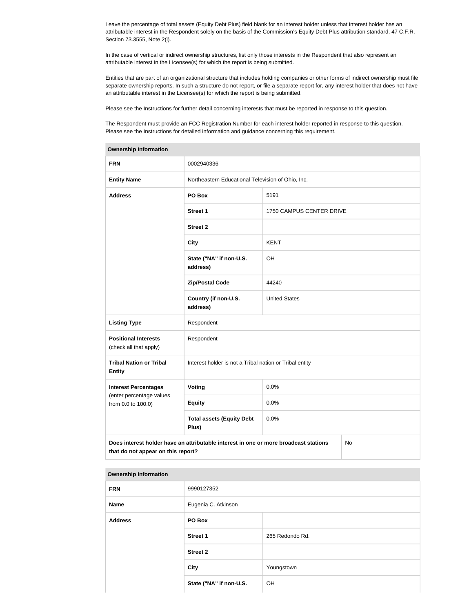Leave the percentage of total assets (Equity Debt Plus) field blank for an interest holder unless that interest holder has an attributable interest in the Respondent solely on the basis of the Commission's Equity Debt Plus attribution standard, 47 C.F.R. Section 73.3555, Note 2(i).

In the case of vertical or indirect ownership structures, list only those interests in the Respondent that also represent an attributable interest in the Licensee(s) for which the report is being submitted.

Entities that are part of an organizational structure that includes holding companies or other forms of indirect ownership must file separate ownership reports. In such a structure do not report, or file a separate report for, any interest holder that does not have an attributable interest in the Licensee(s) for which the report is being submitted.

Please see the Instructions for further detail concerning interests that must be reported in response to this question.

The Respondent must provide an FCC Registration Number for each interest holder reported in response to this question. Please see the Instructions for detailed information and guidance concerning this requirement.

| Ownership information                                                                                                            |                                                         |                          |  |  |
|----------------------------------------------------------------------------------------------------------------------------------|---------------------------------------------------------|--------------------------|--|--|
| <b>FRN</b>                                                                                                                       | 0002940336                                              |                          |  |  |
| <b>Entity Name</b>                                                                                                               | Northeastern Educational Television of Ohio, Inc.       |                          |  |  |
| <b>Address</b>                                                                                                                   | PO Box                                                  | 5191                     |  |  |
|                                                                                                                                  | <b>Street 1</b>                                         | 1750 CAMPUS CENTER DRIVE |  |  |
|                                                                                                                                  | <b>Street 2</b>                                         |                          |  |  |
|                                                                                                                                  | <b>City</b>                                             | <b>KENT</b>              |  |  |
|                                                                                                                                  | State ("NA" if non-U.S.<br>address)                     | OH                       |  |  |
|                                                                                                                                  | <b>Zip/Postal Code</b>                                  | 44240                    |  |  |
|                                                                                                                                  | Country (if non-U.S.<br>address)                        | <b>United States</b>     |  |  |
| <b>Listing Type</b>                                                                                                              | Respondent                                              |                          |  |  |
| <b>Positional Interests</b><br>(check all that apply)                                                                            | Respondent                                              |                          |  |  |
| <b>Tribal Nation or Tribal</b><br><b>Entity</b>                                                                                  | Interest holder is not a Tribal nation or Tribal entity |                          |  |  |
| <b>Interest Percentages</b>                                                                                                      | Voting                                                  | 0.0%                     |  |  |
| (enter percentage values<br>from 0.0 to 100.0)                                                                                   | <b>Equity</b>                                           | 0.0%                     |  |  |
|                                                                                                                                  | <b>Total assets (Equity Debt</b><br>Plus)               | 0.0%                     |  |  |
| Does interest holder have an attributable interest in one or more broadcast stations<br>No<br>that do not appear on this report? |                                                         |                          |  |  |

| <b>Ownership Information</b> |
|------------------------------|
|                              |

| <b>FRN</b>     | 9990127352              |                 |  |
|----------------|-------------------------|-----------------|--|
| Name           | Eugenia C. Atkinson     |                 |  |
| <b>Address</b> | PO Box                  |                 |  |
|                | <b>Street 1</b>         | 265 Redondo Rd. |  |
|                | <b>Street 2</b>         |                 |  |
|                | <b>City</b>             | Youngstown      |  |
|                | State ("NA" if non-U.S. | OH              |  |
|                |                         |                 |  |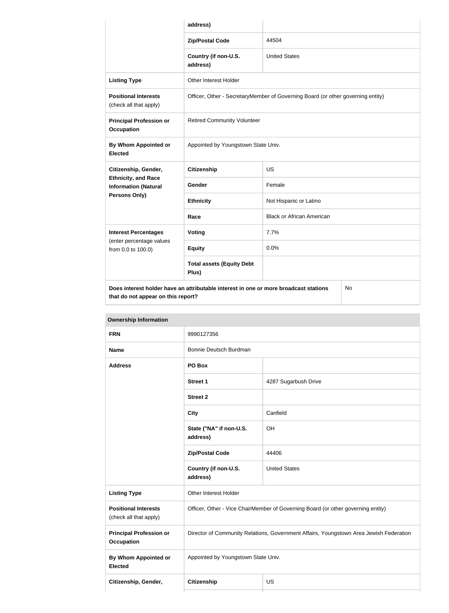|                                                           | address)                                                                             |                                  |  |
|-----------------------------------------------------------|--------------------------------------------------------------------------------------|----------------------------------|--|
|                                                           | <b>Zip/Postal Code</b>                                                               | 44504                            |  |
|                                                           | Country (if non-U.S.<br>address)                                                     | <b>United States</b>             |  |
| <b>Listing Type</b>                                       | <b>Other Interest Holder</b>                                                         |                                  |  |
| <b>Positional Interests</b><br>(check all that apply)     | Officer, Other - SecretaryMember of Governing Board (or other governing entity)      |                                  |  |
| <b>Principal Profession or</b><br><b>Occupation</b>       | <b>Retired Community Volunteer</b>                                                   |                                  |  |
| <b>By Whom Appointed or</b><br><b>Elected</b>             | Appointed by Youngstown State Univ.                                                  |                                  |  |
| Citizenship, Gender,                                      | <b>Citizenship</b>                                                                   | <b>US</b>                        |  |
| <b>Ethnicity, and Race</b><br><b>Information (Natural</b> | Gender                                                                               | Female                           |  |
| Persons Only)                                             | <b>Ethnicity</b>                                                                     | Not Hispanic or Latino           |  |
|                                                           | Race                                                                                 | <b>Black or African American</b> |  |
| <b>Interest Percentages</b>                               | Voting                                                                               | 7.7%                             |  |
| (enter percentage values<br>from 0.0 to 100.0)            | <b>Equity</b>                                                                        | 0.0%                             |  |
|                                                           | <b>Total assets (Equity Debt</b><br>Plus)                                            |                                  |  |
| that do not appear on this report?                        | Does interest holder have an attributable interest in one or more broadcast stations | No                               |  |

| <b>FRN</b>                                            | 9990127356                                                                             |                      |  |  |
|-------------------------------------------------------|----------------------------------------------------------------------------------------|----------------------|--|--|
|                                                       |                                                                                        |                      |  |  |
| <b>Name</b>                                           | Bonnie Deutsch Burdman                                                                 |                      |  |  |
| <b>Address</b>                                        | PO Box                                                                                 |                      |  |  |
|                                                       | <b>Street 1</b>                                                                        | 4287 Sugarbush Drive |  |  |
|                                                       | <b>Street 2</b>                                                                        |                      |  |  |
|                                                       | <b>City</b>                                                                            | Canfield             |  |  |
|                                                       | State ("NA" if non-U.S.<br>address)                                                    | OH                   |  |  |
|                                                       | <b>Zip/Postal Code</b>                                                                 | 44406                |  |  |
|                                                       | Country (if non-U.S.<br>address)                                                       | <b>United States</b> |  |  |
| <b>Listing Type</b>                                   | Other Interest Holder                                                                  |                      |  |  |
| <b>Positional Interests</b><br>(check all that apply) | Officer, Other - Vice ChairMember of Governing Board (or other governing entity)       |                      |  |  |
| <b>Principal Profession or</b><br><b>Occupation</b>   | Director of Community Relations, Government Affairs, Youngstown Area Jewish Federation |                      |  |  |
| <b>By Whom Appointed or</b><br><b>Elected</b>         | Appointed by Youngstown State Univ.                                                    |                      |  |  |
| Citizenship, Gender,                                  | <b>Citizenship</b>                                                                     | US                   |  |  |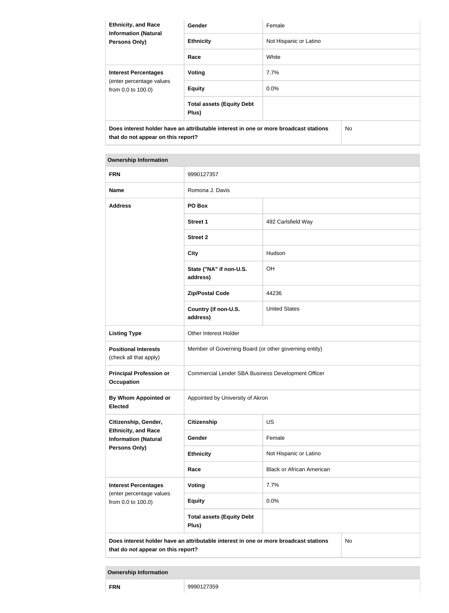| <b>Ethnicity, and Race</b><br><b>Information (Natural</b><br><b>Persons Only)</b>                                          | <b>Gender</b>                             | Female                 |  |
|----------------------------------------------------------------------------------------------------------------------------|-------------------------------------------|------------------------|--|
|                                                                                                                            | <b>Ethnicity</b>                          | Not Hispanic or Latino |  |
|                                                                                                                            | Race                                      | White                  |  |
| <b>Interest Percentages</b><br>(enter percentage values<br>from 0.0 to 100.0)                                              | Voting                                    | 7.7%                   |  |
|                                                                                                                            | <b>Equity</b>                             | 0.0%                   |  |
|                                                                                                                            | <b>Total assets (Equity Debt</b><br>Plus) |                        |  |
| Does interest holder have an attributable interest in one or more broadcast stations<br>that do not appear on this report? |                                           | No.                    |  |

| <b>FRN</b>                                                                                                                       | 9990127357                                            |                                  |  |
|----------------------------------------------------------------------------------------------------------------------------------|-------------------------------------------------------|----------------------------------|--|
| <b>Name</b>                                                                                                                      | Romona J. Davis                                       |                                  |  |
| <b>Address</b>                                                                                                                   | PO Box                                                |                                  |  |
|                                                                                                                                  | <b>Street 1</b>                                       | 492 Carlsfield Way               |  |
|                                                                                                                                  | <b>Street 2</b>                                       |                                  |  |
|                                                                                                                                  | <b>City</b>                                           | Hudson                           |  |
|                                                                                                                                  | State ("NA" if non-U.S.<br>address)                   | OH                               |  |
|                                                                                                                                  | <b>Zip/Postal Code</b>                                | 44236                            |  |
|                                                                                                                                  | Country (if non-U.S.<br>address)                      | <b>United States</b>             |  |
| <b>Listing Type</b>                                                                                                              | Other Interest Holder                                 |                                  |  |
| <b>Positional Interests</b><br>(check all that apply)                                                                            | Member of Governing Board (or other governing entity) |                                  |  |
| <b>Principal Profession or</b><br><b>Occupation</b>                                                                              | Commercial Lender SBA Business Development Officer    |                                  |  |
| <b>By Whom Appointed or</b><br><b>Elected</b>                                                                                    | Appointed by University of Akron                      |                                  |  |
| Citizenship, Gender,                                                                                                             | <b>Citizenship</b>                                    | US                               |  |
| <b>Ethnicity, and Race</b><br><b>Information (Natural</b>                                                                        | Gender                                                | Female                           |  |
| Persons Only)                                                                                                                    | <b>Ethnicity</b>                                      | Not Hispanic or Latino           |  |
|                                                                                                                                  | Race                                                  | <b>Black or African American</b> |  |
| <b>Interest Percentages</b>                                                                                                      | <b>Voting</b>                                         | 7.7%                             |  |
| (enter percentage values<br>from 0.0 to 100.0)                                                                                   | <b>Equity</b>                                         | 0.0%                             |  |
|                                                                                                                                  | <b>Total assets (Equity Debt</b><br>Plus)             |                                  |  |
| Does interest holder have an attributable interest in one or more broadcast stations<br>No<br>that do not appear on this report? |                                                       |                                  |  |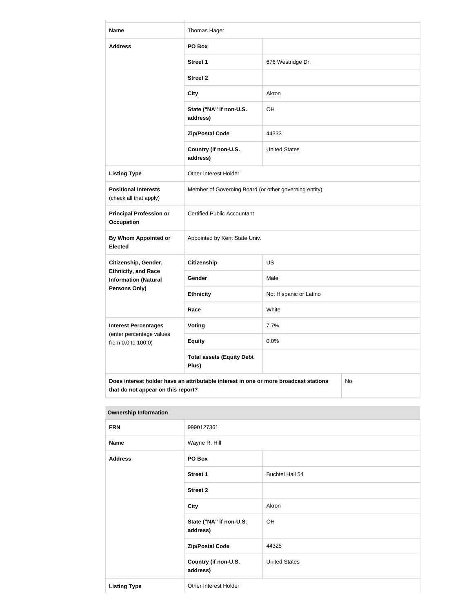| <b>Name</b>                                               | Thomas Hager                                                                         |                        |    |
|-----------------------------------------------------------|--------------------------------------------------------------------------------------|------------------------|----|
| <b>Address</b>                                            | PO Box                                                                               |                        |    |
|                                                           | <b>Street 1</b>                                                                      | 676 Westridge Dr.      |    |
|                                                           | <b>Street 2</b>                                                                      |                        |    |
|                                                           | <b>City</b>                                                                          | Akron                  |    |
|                                                           | State ("NA" if non-U.S.<br>address)                                                  | OH                     |    |
|                                                           | <b>Zip/Postal Code</b>                                                               | 44333                  |    |
|                                                           | Country (if non-U.S.<br>address)                                                     | <b>United States</b>   |    |
| <b>Listing Type</b>                                       | <b>Other Interest Holder</b>                                                         |                        |    |
| <b>Positional Interests</b><br>(check all that apply)     | Member of Governing Board (or other governing entity)                                |                        |    |
| <b>Principal Profession or</b><br><b>Occupation</b>       | <b>Certified Public Accountant</b>                                                   |                        |    |
| By Whom Appointed or<br><b>Elected</b>                    | Appointed by Kent State Univ.                                                        |                        |    |
| Citizenship, Gender,                                      | <b>Citizenship</b>                                                                   | <b>US</b>              |    |
| <b>Ethnicity, and Race</b><br><b>Information (Natural</b> | Gender                                                                               | Male                   |    |
| Persons Only)                                             | <b>Ethnicity</b>                                                                     | Not Hispanic or Latino |    |
|                                                           | Race                                                                                 | White                  |    |
| <b>Interest Percentages</b><br>(enter percentage values   | Voting                                                                               | 7.7%                   |    |
| from 0.0 to 100.0)                                        | <b>Equity</b>                                                                        | 0.0%                   |    |
|                                                           | <b>Total assets (Equity Debt</b><br>Plus)                                            |                        |    |
| that do not appear on this report?                        | Does interest holder have an attributable interest in one or more broadcast stations |                        | No |

| <b>FRN</b>          | 9990127361                          |                      |
|---------------------|-------------------------------------|----------------------|
| <b>Name</b>         | Wayne R. Hill                       |                      |
| <b>Address</b>      | PO Box                              |                      |
|                     | <b>Street 1</b>                     | Buchtel Hall 54      |
|                     | <b>Street 2</b>                     |                      |
|                     | <b>City</b>                         | Akron                |
|                     | State ("NA" if non-U.S.<br>address) | OH                   |
|                     | <b>Zip/Postal Code</b>              | 44325                |
|                     | Country (if non-U.S.<br>address)    | <b>United States</b> |
| <b>Listing Type</b> | Other Interest Holder               |                      |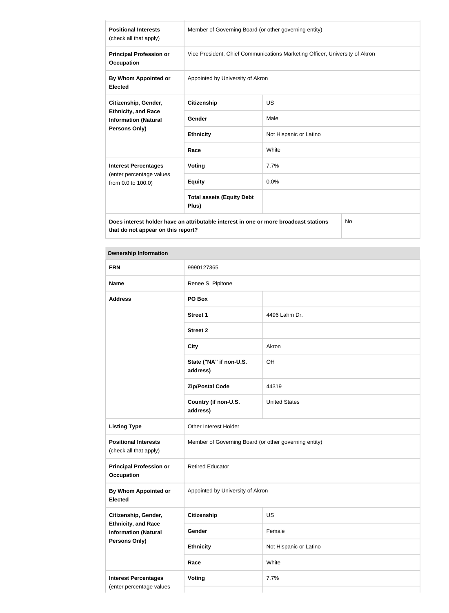| <b>Positional Interests</b><br>(check all that apply)                                             | Member of Governing Board (or other governing entity)                       |                        |  |
|---------------------------------------------------------------------------------------------------|-----------------------------------------------------------------------------|------------------------|--|
| <b>Principal Profession or</b><br><b>Occupation</b>                                               | Vice President, Chief Communications Marketing Officer, University of Akron |                        |  |
| By Whom Appointed or<br><b>Elected</b>                                                            | Appointed by University of Akron                                            |                        |  |
| Citizenship, Gender,                                                                              | <b>Citizenship</b>                                                          | US.                    |  |
| <b>Ethnicity, and Race</b><br><b>Information (Natural</b>                                         | Gender                                                                      | Male                   |  |
| <b>Persons Only)</b>                                                                              | <b>Ethnicity</b>                                                            | Not Hispanic or Latino |  |
|                                                                                                   | Race                                                                        | White                  |  |
| <b>Interest Percentages</b>                                                                       | Voting                                                                      | 7.7%                   |  |
| (enter percentage values<br>from 0.0 to 100.0)                                                    | <b>Equity</b>                                                               | 0.0%                   |  |
|                                                                                                   | <b>Total assets (Equity Debt</b><br>Plus)                                   |                        |  |
| Does interest holder have an attributable interest in one or more broadcast stations<br><b>No</b> |                                                                             |                        |  |

**that do not appear on this report?**

| <b>FRN</b>                                                | 9990127365                                            |                        |  |
|-----------------------------------------------------------|-------------------------------------------------------|------------------------|--|
| <b>Name</b>                                               | Renee S. Pipitone                                     |                        |  |
| <b>Address</b>                                            | PO Box                                                |                        |  |
|                                                           | <b>Street 1</b>                                       | 4496 Lahm Dr.          |  |
|                                                           | <b>Street 2</b>                                       |                        |  |
|                                                           | <b>City</b>                                           | Akron                  |  |
|                                                           | State ("NA" if non-U.S.<br>address)                   | OH                     |  |
|                                                           | <b>Zip/Postal Code</b>                                | 44319                  |  |
|                                                           | Country (if non-U.S.<br>address)                      | <b>United States</b>   |  |
| <b>Listing Type</b>                                       | Other Interest Holder                                 |                        |  |
| <b>Positional Interests</b><br>(check all that apply)     | Member of Governing Board (or other governing entity) |                        |  |
| <b>Principal Profession or</b><br><b>Occupation</b>       | <b>Retired Educator</b>                               |                        |  |
| <b>By Whom Appointed or</b><br><b>Elected</b>             | Appointed by University of Akron                      |                        |  |
| Citizenship, Gender,                                      | Citizenship                                           | US                     |  |
| <b>Ethnicity, and Race</b><br><b>Information (Natural</b> | Gender                                                | Female                 |  |
| <b>Persons Only)</b>                                      | <b>Ethnicity</b>                                      | Not Hispanic or Latino |  |
|                                                           | Race                                                  | White                  |  |
| <b>Interest Percentages</b>                               | <b>Voting</b>                                         | 7.7%                   |  |
| (enter percentage values                                  |                                                       |                        |  |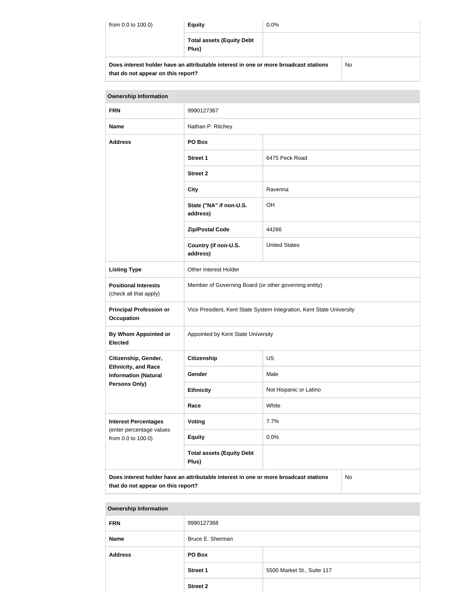| from 0.0 to 100.0)                                                                                                         | <b>Equity</b>                             | $0.0\%$ |  |
|----------------------------------------------------------------------------------------------------------------------------|-------------------------------------------|---------|--|
|                                                                                                                            | <b>Total assets (Equity Debt</b><br>Plus) |         |  |
| Does interest holder have an attributable interest in one or more broadcast stations<br>that do not appear on this report? |                                           | No.     |  |

| <b>Ownership Information</b>                                                                                                            |                                                                      |                        |  |
|-----------------------------------------------------------------------------------------------------------------------------------------|----------------------------------------------------------------------|------------------------|--|
| <b>FRN</b>                                                                                                                              | 9990127367                                                           |                        |  |
| <b>Name</b>                                                                                                                             | Nathan P. Ritchey                                                    |                        |  |
| <b>Address</b>                                                                                                                          | PO Box                                                               |                        |  |
|                                                                                                                                         | <b>Street 1</b>                                                      | 6475 Peck Road         |  |
|                                                                                                                                         | <b>Street 2</b>                                                      |                        |  |
|                                                                                                                                         | <b>City</b>                                                          | Ravenna                |  |
|                                                                                                                                         | State ("NA" if non-U.S.<br>address)                                  | OH                     |  |
|                                                                                                                                         | <b>Zip/Postal Code</b>                                               | 44266                  |  |
|                                                                                                                                         | Country (if non-U.S.<br>address)                                     | <b>United States</b>   |  |
| <b>Listing Type</b>                                                                                                                     | Other Interest Holder                                                |                        |  |
| <b>Positional Interests</b><br>(check all that apply)                                                                                   | Member of Governing Board (or other governing entity)                |                        |  |
| <b>Principal Profession or</b><br><b>Occupation</b>                                                                                     | Vice President, Kent State System Integration, Kent State University |                        |  |
| <b>By Whom Appointed or</b><br><b>Elected</b>                                                                                           | Appointed by Kent State University                                   |                        |  |
| Citizenship, Gender,                                                                                                                    | <b>Citizenship</b>                                                   | <b>US</b>              |  |
| <b>Ethnicity, and Race</b><br><b>Information (Natural</b>                                                                               | Gender                                                               | Male                   |  |
| Persons Only)                                                                                                                           | <b>Ethnicity</b>                                                     | Not Hispanic or Latino |  |
|                                                                                                                                         | Race                                                                 | White                  |  |
| <b>Interest Percentages</b>                                                                                                             | <b>Voting</b>                                                        | 7.7%                   |  |
| (enter percentage values<br>from 0.0 to 100.0)                                                                                          | <b>Equity</b>                                                        | 0.0%                   |  |
|                                                                                                                                         | <b>Total assets (Equity Debt</b><br>Plus)                            |                        |  |
| Does interest holder have an attributable interest in one or more broadcast stations<br><b>No</b><br>that do not appear on this report? |                                                                      |                        |  |

| <b>FRN</b>     | 9990127368       |                            |
|----------------|------------------|----------------------------|
| <b>Name</b>    | Bruce E. Sherman |                            |
| <b>Address</b> | PO Box           |                            |
|                | <b>Street 1</b>  | 5500 Market St., Suite 117 |
|                | <b>Street 2</b>  |                            |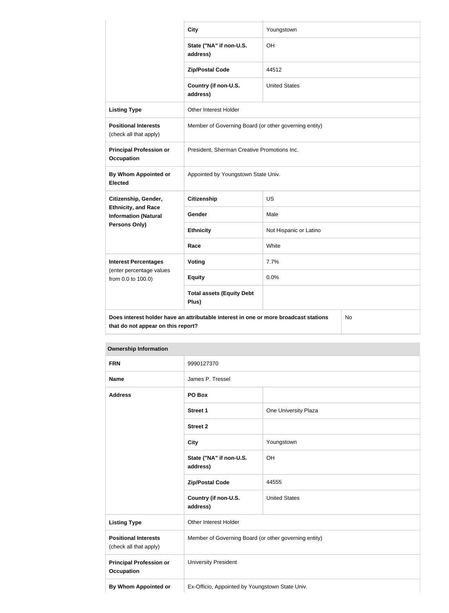|                                                                                                                                  | <b>City</b>                                           | Youngstown             |  |
|----------------------------------------------------------------------------------------------------------------------------------|-------------------------------------------------------|------------------------|--|
|                                                                                                                                  | State ("NA" if non-U.S.<br>address)                   | OH                     |  |
|                                                                                                                                  | <b>Zip/Postal Code</b>                                | 44512                  |  |
|                                                                                                                                  | Country (if non-U.S.<br>address)                      | <b>United States</b>   |  |
| <b>Listing Type</b>                                                                                                              | Other Interest Holder                                 |                        |  |
| <b>Positional Interests</b><br>(check all that apply)                                                                            | Member of Governing Board (or other governing entity) |                        |  |
| <b>Principal Profession or</b><br><b>Occupation</b>                                                                              | President, Sherman Creative Promotions Inc.           |                        |  |
| <b>By Whom Appointed or</b><br><b>Elected</b>                                                                                    | Appointed by Youngstown State Univ.                   |                        |  |
| Citizenship, Gender,                                                                                                             | <b>Citizenship</b>                                    | US                     |  |
| <b>Ethnicity, and Race</b><br><b>Information (Natural</b>                                                                        | Gender                                                | Male                   |  |
| Persons Only)                                                                                                                    | <b>Ethnicity</b>                                      | Not Hispanic or Latino |  |
|                                                                                                                                  | Race                                                  | White                  |  |
| <b>Interest Percentages</b>                                                                                                      | Voting                                                | 7.7%                   |  |
| (enter percentage values<br>from 0.0 to 100.0)                                                                                   | <b>Equity</b>                                         | 0.0%                   |  |
|                                                                                                                                  | <b>Total assets (Equity Debt</b><br>Plus)             |                        |  |
| Does interest holder have an attributable interest in one or more broadcast stations<br>No<br>that do not appear on this report? |                                                       |                        |  |

| <b>Ownership Information</b>                          |                                                       |                      |
|-------------------------------------------------------|-------------------------------------------------------|----------------------|
| <b>FRN</b>                                            | 9990127370                                            |                      |
| <b>Name</b>                                           | James P. Tressel                                      |                      |
| <b>Address</b>                                        | PO Box                                                |                      |
|                                                       | <b>Street 1</b>                                       | One University Plaza |
|                                                       | <b>Street 2</b>                                       |                      |
|                                                       | <b>City</b>                                           | Youngstown           |
|                                                       | State ("NA" if non-U.S.<br>address)                   | OH                   |
|                                                       | <b>Zip/Postal Code</b>                                | 44555                |
|                                                       | Country (if non-U.S.<br>address)                      | <b>United States</b> |
| <b>Listing Type</b>                                   | <b>Other Interest Holder</b>                          |                      |
| <b>Positional Interests</b><br>(check all that apply) | Member of Governing Board (or other governing entity) |                      |
| <b>Principal Profession or</b><br><b>Occupation</b>   | <b>University President</b>                           |                      |

**By Whom Appointed or <br>Ex-Officio, Appointed by Youngstown State Univ.**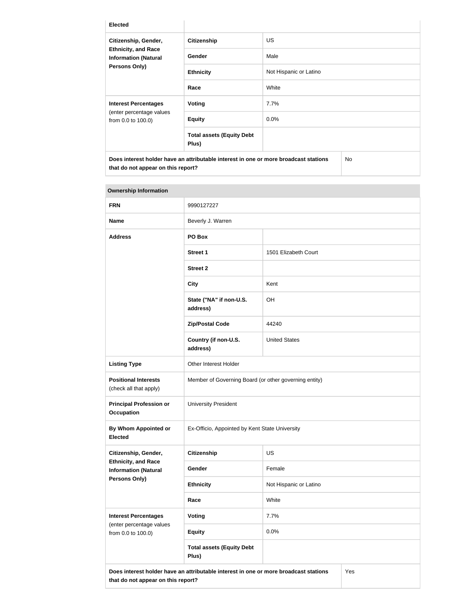| <b>Elected</b>                                                                                            |                                           |                        |  |
|-----------------------------------------------------------------------------------------------------------|-------------------------------------------|------------------------|--|
| Citizenship, Gender,<br><b>Ethnicity, and Race</b><br><b>Information (Natural</b><br><b>Persons Only)</b> | <b>Citizenship</b>                        | <b>US</b>              |  |
|                                                                                                           | Gender                                    | Male                   |  |
|                                                                                                           | <b>Ethnicity</b>                          | Not Hispanic or Latino |  |
|                                                                                                           | Race                                      | White                  |  |
| <b>Interest Percentages</b><br>(enter percentage values<br>from 0.0 to 100.0)                             | <b>Voting</b>                             | $7.7\%$                |  |
|                                                                                                           | <b>Equity</b>                             | $0.0\%$                |  |
|                                                                                                           | <b>Total assets (Equity Debt</b><br>Plus) |                        |  |
| No<br>Does interest holder have an attributable interest in one or more broadcast stations                |                                           |                        |  |

| Ownership information                                                                                                             |                                                       |                        |  |
|-----------------------------------------------------------------------------------------------------------------------------------|-------------------------------------------------------|------------------------|--|
| <b>FRN</b>                                                                                                                        | 9990127227                                            |                        |  |
| <b>Name</b>                                                                                                                       | Beverly J. Warren                                     |                        |  |
| <b>Address</b>                                                                                                                    | PO Box                                                |                        |  |
|                                                                                                                                   | <b>Street 1</b>                                       | 1501 Elizabeth Court   |  |
|                                                                                                                                   | <b>Street 2</b>                                       |                        |  |
|                                                                                                                                   | <b>City</b>                                           | Kent                   |  |
|                                                                                                                                   | State ("NA" if non-U.S.<br>address)                   | OH                     |  |
|                                                                                                                                   | <b>Zip/Postal Code</b>                                | 44240                  |  |
|                                                                                                                                   | Country (if non-U.S.<br>address)                      | <b>United States</b>   |  |
| <b>Listing Type</b>                                                                                                               | Other Interest Holder                                 |                        |  |
| <b>Positional Interests</b><br>(check all that apply)                                                                             | Member of Governing Board (or other governing entity) |                        |  |
| <b>Principal Profession or</b><br><b>Occupation</b>                                                                               | <b>University President</b>                           |                        |  |
| <b>By Whom Appointed or</b><br><b>Elected</b>                                                                                     | Ex-Officio, Appointed by Kent State University        |                        |  |
| Citizenship, Gender,                                                                                                              | <b>Citizenship</b>                                    | US                     |  |
| <b>Ethnicity, and Race</b><br><b>Information (Natural</b>                                                                         | Gender                                                | Female                 |  |
| Persons Only)                                                                                                                     | <b>Ethnicity</b>                                      | Not Hispanic or Latino |  |
|                                                                                                                                   | Race                                                  | White                  |  |
| <b>Interest Percentages</b><br>(enter percentage values<br>from 0.0 to 100.0)                                                     | <b>Voting</b>                                         | 7.7%                   |  |
|                                                                                                                                   | <b>Equity</b>                                         | 0.0%                   |  |
|                                                                                                                                   | <b>Total assets (Equity Debt</b><br>Plus)             |                        |  |
| Does interest holder have an attributable interest in one or more broadcast stations<br>Yes<br>that do not appear on this report? |                                                       |                        |  |

**that do not appear on this report?**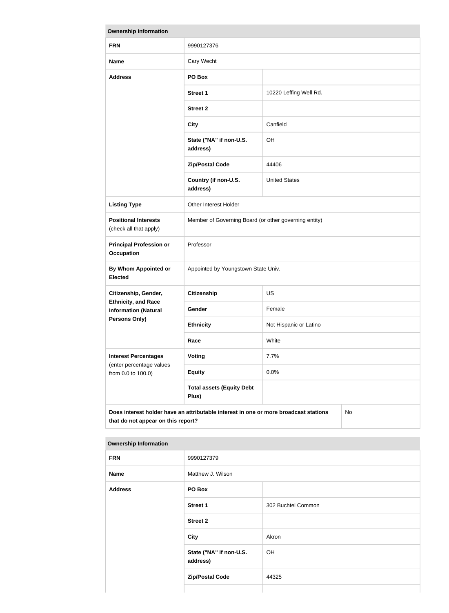| <b>Ownership Information</b>                                                                                                            |                                                       |                        |  |
|-----------------------------------------------------------------------------------------------------------------------------------------|-------------------------------------------------------|------------------------|--|
| <b>FRN</b>                                                                                                                              | 9990127376                                            |                        |  |
| <b>Name</b>                                                                                                                             | Cary Wecht                                            |                        |  |
| <b>Address</b>                                                                                                                          | PO Box                                                |                        |  |
|                                                                                                                                         | <b>Street 1</b>                                       | 10220 Leffing Well Rd. |  |
|                                                                                                                                         | <b>Street 2</b>                                       |                        |  |
|                                                                                                                                         | <b>City</b>                                           | Canfield               |  |
|                                                                                                                                         | State ("NA" if non-U.S.<br>address)                   | OH                     |  |
|                                                                                                                                         | <b>Zip/Postal Code</b>                                | 44406                  |  |
|                                                                                                                                         | Country (if non-U.S.<br>address)                      | <b>United States</b>   |  |
| <b>Listing Type</b>                                                                                                                     | Other Interest Holder                                 |                        |  |
| <b>Positional Interests</b><br>(check all that apply)                                                                                   | Member of Governing Board (or other governing entity) |                        |  |
| <b>Principal Profession or</b><br><b>Occupation</b>                                                                                     | Professor                                             |                        |  |
| By Whom Appointed or<br><b>Elected</b>                                                                                                  | Appointed by Youngstown State Univ.                   |                        |  |
| Citizenship, Gender,                                                                                                                    | <b>Citizenship</b>                                    | US                     |  |
| <b>Ethnicity, and Race</b><br><b>Information (Natural</b>                                                                               | Gender                                                | Female                 |  |
| <b>Persons Only)</b>                                                                                                                    | <b>Ethnicity</b>                                      | Not Hispanic or Latino |  |
|                                                                                                                                         | Race                                                  | White                  |  |
| <b>Interest Percentages</b><br>(enter percentage values<br>from 0.0 to 100.0)                                                           | Voting                                                | 7.7%                   |  |
|                                                                                                                                         | <b>Equity</b>                                         | 0.0%                   |  |
|                                                                                                                                         | <b>Total assets (Equity Debt</b><br>Plus)             |                        |  |
| Does interest holder have an attributable interest in one or more broadcast stations<br><b>No</b><br>that do not appear on this report? |                                                       |                        |  |

| <b>OMNOTOR BULLARDING</b> |                                     |                    |
|---------------------------|-------------------------------------|--------------------|
| <b>FRN</b>                | 9990127379                          |                    |
| <b>Name</b>               | Matthew J. Wilson                   |                    |
| <b>Address</b>            | PO Box                              |                    |
|                           | <b>Street 1</b>                     | 302 Buchtel Common |
|                           | <b>Street 2</b>                     |                    |
|                           | City                                | Akron              |
|                           | State ("NA" if non-U.S.<br>address) | OH                 |
|                           | <b>Zip/Postal Code</b>              | 44325              |
|                           |                                     |                    |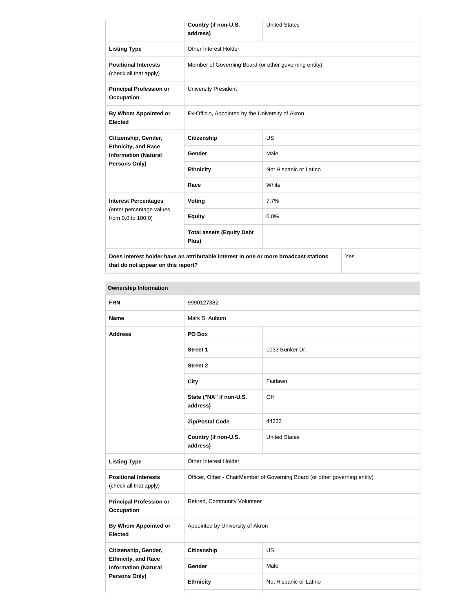|                                                                                             | Country (if non-U.S.<br>address)                      | <b>United States</b>   |  |
|---------------------------------------------------------------------------------------------|-------------------------------------------------------|------------------------|--|
| <b>Listing Type</b>                                                                         | Other Interest Holder                                 |                        |  |
| <b>Positional Interests</b><br>(check all that apply)                                       | Member of Governing Board (or other governing entity) |                        |  |
| <b>Principal Profession or</b><br><b>Occupation</b>                                         | <b>University President</b>                           |                        |  |
| <b>By Whom Appointed or</b><br><b>Elected</b>                                               | Ex-Officio, Appointed by the University of Akron      |                        |  |
| Citizenship, Gender,                                                                        | <b>Citizenship</b>                                    | <b>US</b>              |  |
| <b>Ethnicity, and Race</b><br><b>Information (Natural</b>                                   | <b>Gender</b>                                         | Male                   |  |
| Persons Only)                                                                               | <b>Ethnicity</b>                                      | Not Hispanic or Latino |  |
|                                                                                             | Race                                                  | White                  |  |
| <b>Interest Percentages</b>                                                                 | Voting                                                | 7.7%                   |  |
| (enter percentage values<br>from 0.0 to 100.0)                                              | <b>Equity</b>                                         | 0.0%                   |  |
|                                                                                             | <b>Total assets (Equity Debt</b><br>Plus)             |                        |  |
| Does interest holder have an attributable interest in one or more broadcast stations<br>Yes |                                                       |                        |  |

**that do not appear on this report?**

| <b>Ownership Information</b>                                                                              |                                                                             |                      |  |
|-----------------------------------------------------------------------------------------------------------|-----------------------------------------------------------------------------|----------------------|--|
| <b>FRN</b>                                                                                                | 9990127382                                                                  |                      |  |
| <b>Name</b>                                                                                               | Mark S. Auburn                                                              |                      |  |
| <b>Address</b>                                                                                            | PO Box                                                                      |                      |  |
|                                                                                                           | <b>Street 1</b>                                                             | 1033 Bunker Dr.      |  |
|                                                                                                           | <b>Street 2</b>                                                             |                      |  |
|                                                                                                           | <b>City</b>                                                                 | Fairlawn             |  |
|                                                                                                           | State ("NA" if non-U.S.<br>address)                                         | OH                   |  |
|                                                                                                           | <b>Zip/Postal Code</b>                                                      | 44333                |  |
|                                                                                                           | Country (if non-U.S.<br>address)                                            | <b>United States</b> |  |
| <b>Listing Type</b>                                                                                       | Other Interest Holder                                                       |                      |  |
| <b>Positional Interests</b><br>(check all that apply)                                                     | Officer, Other - ChairMember of Governing Board (or other governing entity) |                      |  |
| <b>Principal Profession or</b><br><b>Occupation</b>                                                       | Retired, Community Volunteer                                                |                      |  |
| By Whom Appointed or<br><b>Elected</b>                                                                    | Appointed by University of Akron                                            |                      |  |
| Citizenship, Gender,<br><b>Ethnicity, and Race</b><br><b>Information (Natural</b><br><b>Persons Only)</b> | Citizenship                                                                 | <b>US</b>            |  |
|                                                                                                           | Gender                                                                      | Male                 |  |
|                                                                                                           | <b>Ethnicity</b><br>Not Hispanic or Latino                                  |                      |  |
|                                                                                                           |                                                                             |                      |  |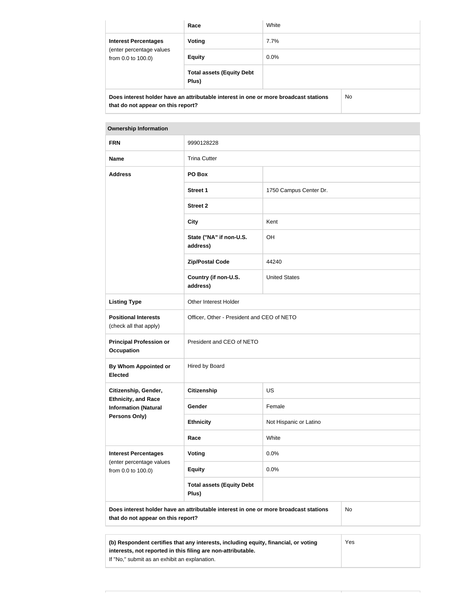|                                                                                      | Race                                      | White   |     |
|--------------------------------------------------------------------------------------|-------------------------------------------|---------|-----|
| <b>Interest Percentages</b><br>(enter percentage values<br>from 0.0 to 100.0)        | Voting                                    | $7.7\%$ |     |
|                                                                                      | <b>Equity</b>                             | $0.0\%$ |     |
|                                                                                      | <b>Total assets (Equity Debt</b><br>Plus) |         |     |
| Does interest holder have an attributable interest in one or more broadcast stations |                                           |         | No. |

**that do not appear on this report?**

| <b>FRN</b>                                                | 9990128228                                 |                        |  |
|-----------------------------------------------------------|--------------------------------------------|------------------------|--|
| <b>Name</b>                                               | <b>Trina Cutter</b>                        |                        |  |
| <b>Address</b>                                            | PO Box                                     |                        |  |
|                                                           |                                            |                        |  |
|                                                           | <b>Street 1</b>                            | 1750 Campus Center Dr. |  |
|                                                           | <b>Street 2</b>                            |                        |  |
|                                                           | <b>City</b>                                | Kent                   |  |
|                                                           | State ("NA" if non-U.S.<br>address)        | OH                     |  |
|                                                           | <b>Zip/Postal Code</b>                     | 44240                  |  |
|                                                           | Country (if non-U.S.<br>address)           | <b>United States</b>   |  |
| <b>Listing Type</b>                                       | Other Interest Holder                      |                        |  |
| <b>Positional Interests</b><br>(check all that apply)     | Officer, Other - President and CEO of NETO |                        |  |
| <b>Principal Profession or</b><br><b>Occupation</b>       | President and CEO of NETO                  |                        |  |
| By Whom Appointed or<br><b>Elected</b>                    | Hired by Board                             |                        |  |
| Citizenship, Gender,                                      | <b>Citizenship</b>                         | <b>US</b>              |  |
| <b>Ethnicity, and Race</b><br><b>Information (Natural</b> | Gender                                     | Female                 |  |
| <b>Persons Only)</b>                                      | <b>Ethnicity</b>                           | Not Hispanic or Latino |  |
|                                                           | Race                                       | White                  |  |
| <b>Interest Percentages</b>                               | <b>Voting</b>                              | 0.0%                   |  |
| (enter percentage values<br>from 0.0 to 100.0)            | <b>Equity</b>                              | 0.0%                   |  |
|                                                           | <b>Total assets (Equity Debt</b><br>Plus)  |                        |  |

| (b) Respondent certifies that any interests, including equity, financial, or voting | Yes |
|-------------------------------------------------------------------------------------|-----|
| interests, not reported in this filing are non-attributable.                        |     |
| If "No," submit as an exhibit an explanation.                                       |     |

 $\top$